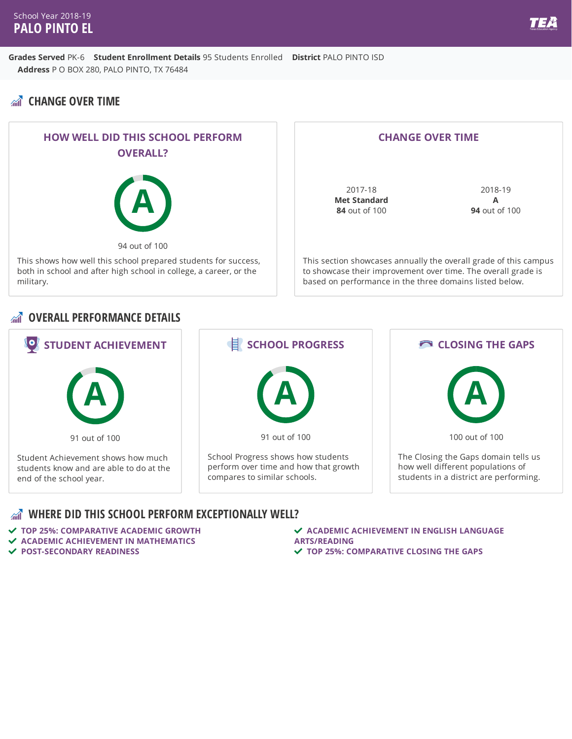## **CHANGE OVER TIME**



#### **CHANGE OVER TIME**

2017-18 **Met Standard 84** out of 100

2018-19 **A 94** out of 100

This section showcases annually the overall grade of this campus to showcase their improvement over time. The overall grade is based on performance in the three domains listed below.

#### **OVERALL PERFORMANCE DETAILS**



#### **WHERE DID THIS SCHOOL PERFORM EXCEPTIONALLY WELL?**

 **TOP 25%: COMPARATIVE ACADEMIC GROWTH ACADEMIC ACHIEVEMENT IN MATHEMATICS POST-SECONDARY READINESS**

 **ACADEMIC ACHIEVEMENT IN ENGLISH LANGUAGE ARTS/READING TOP 25%: COMPARATIVE CLOSING THE GAPS**